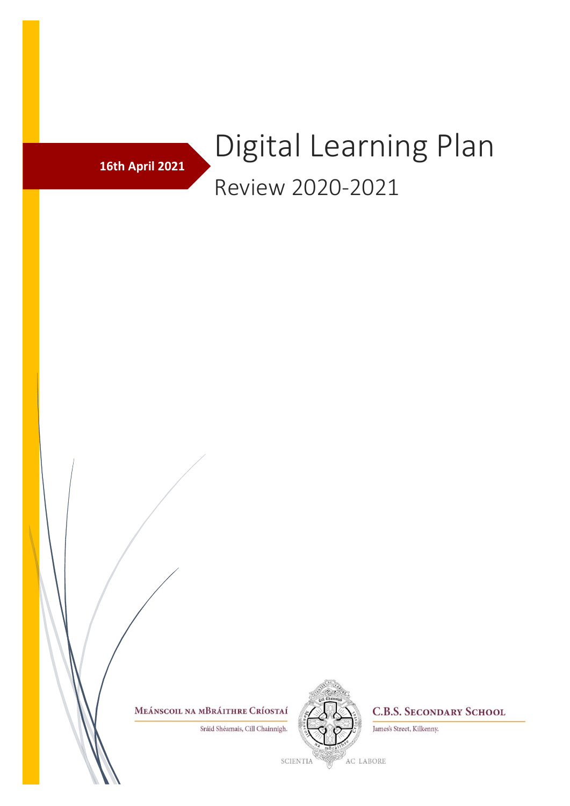

## Digital Learning Plan Review 2020-2021

MEÁNSCOIL NA MBRÁITHRE CRÍOSTAÍ

Sráid Shéamais, Cill Chainnigh.



**C.B.S. SECONDARY SCHOOL** 

James's Street, Kilkenny.

**SCIENTIA**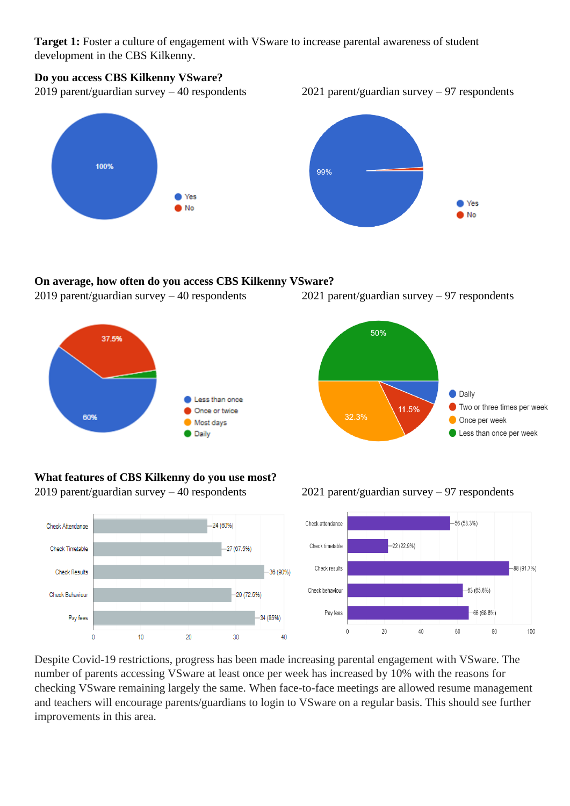**Target 1:** Foster a culture of engagement with VSware to increase parental awareness of student development in the CBS Kilkenny.

## **Do you access CBS Kilkenny VSware?**

2019 parent/guardian survey – 40 respondents 2021 parent/guardian survey – 97 respondents





## **On average, how often do you access CBS Kilkenny VSware?**



2019 parent/guardian survey – 40 respondents 2021 parent/guardian survey – 97 respondents



## **What features of CBS Kilkenny do you use most?** 2019 parent/guardian survey – 40 respondents 2021 parent/guardian survey – 97 respondents



Despite Covid-19 restrictions, progress has been made increasing parental engagement with VSware. The number of parents accessing VSware at least once per week has increased by 10% with the reasons for checking VSware remaining largely the same. When face-to-face meetings are allowed resume management and teachers will encourage parents/guardians to login to VSware on a regular basis. This should see further improvements in this area.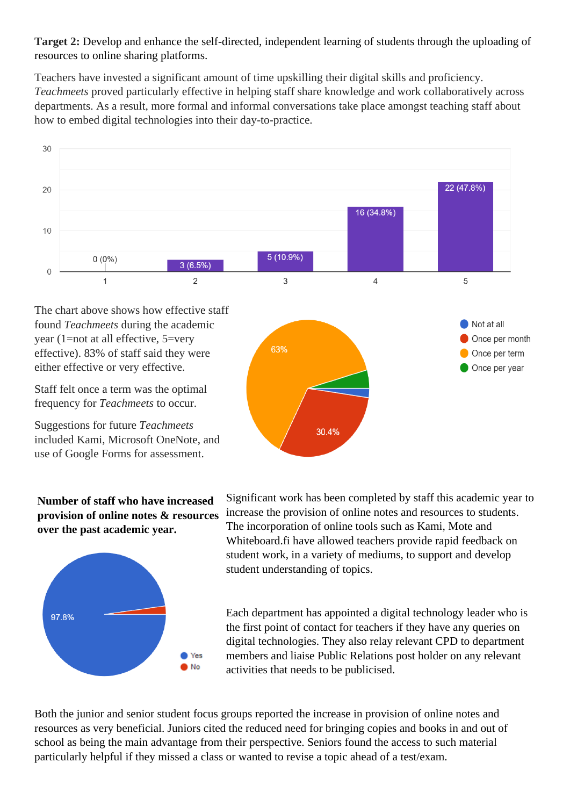**Target 2:** Develop and enhance the self-directed, independent learning of students through the uploading of resources to online sharing platforms.

Teachers have invested a significant amount of time upskilling their digital skills and proficiency. *Teachmeets* proved particularly effective in helping staff share knowledge and work collaboratively across departments. As a result, more formal and informal conversations take place amongst teaching staff about how to embed digital technologies into their day-to-practice.



The chart above shows how effective staff found *Teachmeets* during the academic year (1=not at all effective, 5=very effective). 83% of staff said they were either effective or very effective.

Staff felt once a term was the optimal frequency for *Teachmeets* to occur.

Suggestions for future *Teachmeets* included Kami, Microsoft OneNote, and use of Google Forms for assessment.



**Number of staff who have increased provision of online notes & resources over the past academic year.**



Significant work has been completed by staff this academic year to increase the provision of online notes and resources to students. The incorporation of online tools such as Kami, Mote and Whiteboard.fi have allowed teachers provide rapid feedback on student work, in a variety of mediums, to support and develop student understanding of topics.

Each department has appointed a digital technology leader who is the first point of contact for teachers if they have any queries on digital technologies. They also relay relevant CPD to department members and liaise Public Relations post holder on any relevant activities that needs to be publicised.

Both the junior and senior student focus groups reported the increase in provision of online notes and resources as very beneficial. Juniors cited the reduced need for bringing copies and books in and out of school as being the main advantage from their perspective. Seniors found the access to such material particularly helpful if they missed a class or wanted to revise a topic ahead of a test/exam.